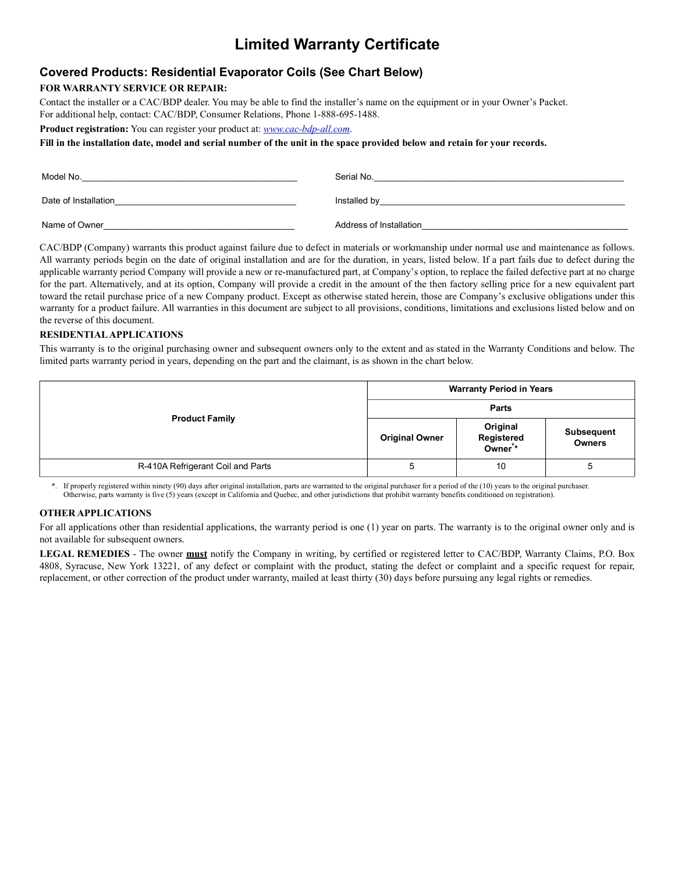# **Limited Warranty Certificate**

### **Covered Products: Residential Evaporator Coils (See Chart Below)**

### **FOR WARRANTY SERVICE OR REPAIR:**

Contact the installer or a CAC/BDP dealer. You may be able to find the installer's name on the equipment or in your Owner's Packet.

For additional help, contact: CAC/BDP, Consumer Relations, Phone 1-888-695-1488.

**Product registration:** You can register your product at: *www.cac-bdp-all.com*.

**Fill in the installation date, model and serial number of the unit in the space provided below and retain for your records.**

| Model No.            | Serial No.              |
|----------------------|-------------------------|
| Date of Installation | Installed by            |
| Name of Owner        | Address of Installation |

CAC/BDP (Company) warrants this product against failure due to defect in materials or workmanship under normal use and maintenance as follows. All warranty periods begin on the date of original installation and are for the duration, in years, listed below. If a part fails due to defect during the applicable warranty period Company will provide a new or re-manufactured part, at Company's option, to replace the failed defective part at no charge for the part. Alternatively, and at its option, Company will provide a credit in the amount of the then factory selling price for a new equivalent part toward the retail purchase price of a new Company product. Except as otherwise stated herein, those are Company's exclusive obligations under this warranty for a product failure. All warranties in this document are subject to all provisions, conditions, limitations and exclusions listed below and on the reverse of this document.

#### **RESIDENTIAL APPLICATIONS**

This warranty is to the original purchasing owner and subsequent owners only to the extent and as stated in the Warranty Conditions and below. The limited parts warranty period in years, depending on the part and the claimant, is as shown in the chart below.

| <b>Product Family</b>             | <b>Warranty Period in Years</b> |                                   |                                    |
|-----------------------------------|---------------------------------|-----------------------------------|------------------------------------|
|                                   | <b>Parts</b>                    |                                   |                                    |
|                                   | <b>Original Owner</b>           | Original<br>Registered<br>Owner** | <b>Subsequent</b><br><b>Owners</b> |
| R-410A Refrigerant Coil and Parts | <sub>5</sub>                    | 10                                |                                    |

\*. If properly registered within ninety (90) days after original installation, parts are warranted to the original purchaser for a period of the (10) years to the original purchaser. Otherwise, parts warranty is five (5) years (except in California and Quebec, and other jurisdictions that prohibit warranty benefits conditioned on registration).

#### **OTHER APPLICATIONS**

For all applications other than residential applications, the warranty period is one (1) year on parts. The warranty is to the original owner only and is not available for subsequent owners.

**LEGAL REMEDIES** - The owner **must** notify the Company in writing, by certified or registered letter to CAC/BDP, Warranty Claims, P.O. Box 4808, Syracuse, New York 13221, of any defect or complaint with the product, stating the defect or complaint and a specific request for repair, replacement, or other correction of the product under warranty, mailed at least thirty (30) days before pursuing any legal rights or remedies.